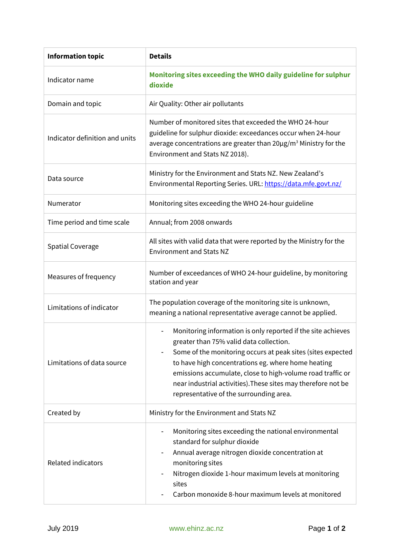| <b>Information topic</b>       | <b>Details</b>                                                                                                                                                                                                                                                                                                                                                                                         |
|--------------------------------|--------------------------------------------------------------------------------------------------------------------------------------------------------------------------------------------------------------------------------------------------------------------------------------------------------------------------------------------------------------------------------------------------------|
| Indicator name                 | Monitoring sites exceeding the WHO daily guideline for sulphur<br>dioxide                                                                                                                                                                                                                                                                                                                              |
| Domain and topic               | Air Quality: Other air pollutants                                                                                                                                                                                                                                                                                                                                                                      |
| Indicator definition and units | Number of monitored sites that exceeded the WHO 24-hour<br>guideline for sulphur dioxide: exceedances occur when 24-hour<br>average concentrations are greater than 20µg/m <sup>3</sup> Ministry for the<br>Environment and Stats NZ 2018).                                                                                                                                                            |
| Data source                    | Ministry for the Environment and Stats NZ. New Zealand's<br>Environmental Reporting Series. URL: https://data.mfe.govt.nz/                                                                                                                                                                                                                                                                             |
| Numerator                      | Monitoring sites exceeding the WHO 24-hour guideline                                                                                                                                                                                                                                                                                                                                                   |
| Time period and time scale     | Annual; from 2008 onwards                                                                                                                                                                                                                                                                                                                                                                              |
| <b>Spatial Coverage</b>        | All sites with valid data that were reported by the Ministry for the<br><b>Environment and Stats NZ</b>                                                                                                                                                                                                                                                                                                |
| Measures of frequency          | Number of exceedances of WHO 24-hour guideline, by monitoring<br>station and year                                                                                                                                                                                                                                                                                                                      |
| Limitations of indicator       | The population coverage of the monitoring site is unknown,<br>meaning a national representative average cannot be applied.                                                                                                                                                                                                                                                                             |
| Limitations of data source     | Monitoring information is only reported if the site achieves<br>greater than 75% valid data collection.<br>Some of the monitoring occurs at peak sites (sites expected<br>to have high concentrations eg. where home heating<br>emissions accumulate, close to high-volume road traffic or<br>near industrial activities). These sites may therefore not be<br>representative of the surrounding area. |
| Created by                     | Ministry for the Environment and Stats NZ                                                                                                                                                                                                                                                                                                                                                              |
| Related indicators             | Monitoring sites exceeding the national environmental<br>standard for sulphur dioxide<br>Annual average nitrogen dioxide concentration at<br>monitoring sites<br>Nitrogen dioxide 1-hour maximum levels at monitoring<br>sites<br>Carbon monoxide 8-hour maximum levels at monitored                                                                                                                   |